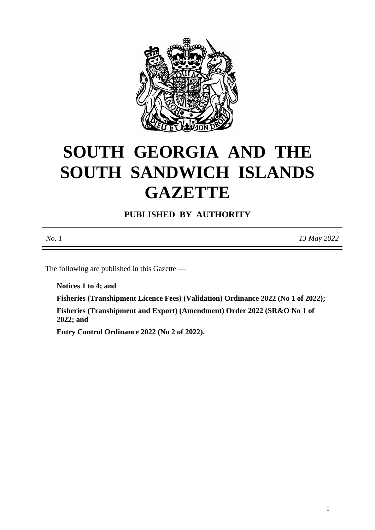

# **SOUTH GEORGIA AND THE SOUTH SANDWICH ISLANDS GAZETTE**

**PUBLISHED BY AUTHORITY**

The following are published in this Gazette —

**Notices 1 to 4; and**

**Fisheries (Transhipment Licence Fees) (Validation) Ordinance 2022 (No 1 of 2022); Fisheries (Transhipment and Export) (Amendment) Order 2022 (SR&O No 1 of** 

**2022; and**

**Entry Control Ordinance 2022 (No 2 of 2022).**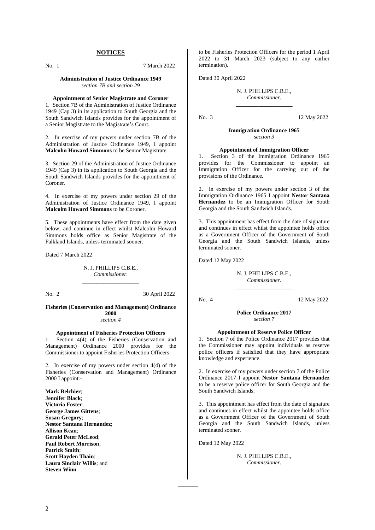#### **NOTICES**

No. 1 7 March 2022

#### **Administration of Justice Ordinance 1949** *section 7B and section 29*

#### **Appointment of Senior Magistrate and Coroner**

1. Section 7B of the Administration of Justice Ordinance 1949 (Cap 3) in its application to South Georgia and the South Sandwich Islands provides for the appointment of a Senior Magistrate to the Magistrate's Court.

2. In exercise of my powers under section 7B of the Administration of Justice Ordinance 1949, I appoint **Malcolm Howard Simmons** to be Senior Magistrate.

3. Section 29 of the Administration of Justice Ordinance 1949 (Cap 3) in its application to South Georgia and the South Sandwich Islands provides for the appointment of Coroner.

4. In exercise of my powers under section 29 of the Administration of Justice Ordinance 1949, I appoint **Malcolm Howard Simmons** to be Coroner.

5. These appointments have effect from the date given below, and continue in effect whilst Malcolm Howard Simmons holds office as Senior Magistrate of the Falkland Islands, unless terminated sooner.

Dated 7 March 2022

N. J. PHILLIPS C.B.E., *Commissioner.* **\_\_\_\_\_\_\_\_\_\_\_\_\_\_\_\_\_\_\_\_**

No. 2 30 April 2022

#### **Fisheries (Conservation and Management) Ordinance 2000**

*section 4*

#### **Appointment of Fisheries Protection Officers**

1. Section 4(4) of the Fisheries (Conservation and Management) Ordinance 2000 provides for the Commissioner to appoint Fisheries Protection Officers.

2. In exercise of my powers under section 4(4) of the Fisheries (Conservation and Management) Ordinance 2000 I appoint:-

**Mark Belchier**; **Jennifer Black**; **Victoria Foster**; **George James Gittens**; **Susan Gregory**; **Nestor Santana Hernandez**; **Allison Kean**; **Gerald Peter McLeod**; **Paul Robert Morrison**; **Patrick Smith**; **Scott Hayden Thain**; **Laura Sinclair Willis**; and **Steven Winn**

to be Fisheries Protection Officers for the period 1 April 2022 to 31 March 2023 (subject to any earlier termination).

Dated 30 April 2022

#### N. J. PHILLIPS C.B.E., *Commissioner.* **\_\_\_\_\_\_\_\_\_\_\_\_\_\_\_\_\_\_\_\_**

No. 3 12 May 2022

#### **Immigration Ordinance 1965** *section 3*

#### **Appointment of Immigration Officer**

1. Section 3 of the Immigration Ordinance 1965 provides for the Commissioner to appoint an Immigration Officer for the carrying out of the provisions of the Ordinance.

2. In exercise of my powers under section 3 of the Immigration Ordinance 1965 I appoint **Nestor Santana Hernandez** to be an Immigration Officer for South Georgia and the South Sandwich Islands.

3. This appointment has effect from the date of signature and continues in effect whilst the appointee holds office as a Government Officer of the Government of South Georgia and the South Sandwich Islands, unless terminated sooner.

Dated 12 May 2022

N. J. PHILLIPS C.B.E., *Commissioner.* **\_\_\_\_\_\_\_\_\_\_\_\_\_\_\_\_\_\_\_\_**

No. 4 12 May 2022

**Police Ordinance 2017** *section 7*

#### **Appointment of Reserve Police Officer**

1. Section 7 of the Police Ordinance 2017 provides that the Commissioner may appoint individuals as reserve police officers if satisfied that they have appropriate knowledge and experience.

2. In exercise of my powers under section 7 of the Police Ordinance 2017 I appoint **Nestor Santana Hernandez** to be a reserve police officer for South Georgia and the South Sandwich Islands.

3. This appointment has effect from the date of signature and continues in effect whilst the appointee holds office as a Government Officer of the Government of South Georgia and the South Sandwich Islands, unless terminated sooner.

Dated 12 May 2022

N. J. PHILLIPS C.B.E., *Commissioner.*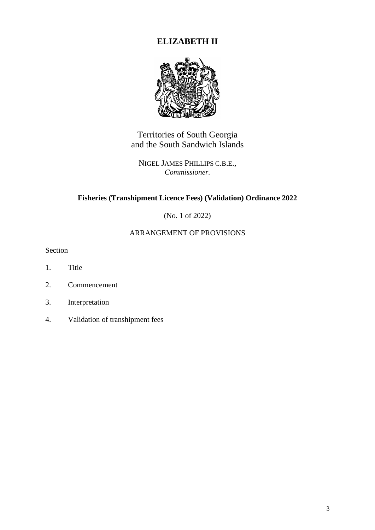# **ELIZABETH II**



Territories of South Georgia and the South Sandwich Islands

NIGEL JAMES PHILLIPS C.B.E., *Commissioner.*

# **Fisheries (Transhipment Licence Fees) (Validation) Ordinance 2022**

(No. 1 of 2022)

# ARRANGEMENT OF PROVISIONS

Section

- 1. Title
- 2. Commencement
- 3. Interpretation
- 4. Validation of transhipment fees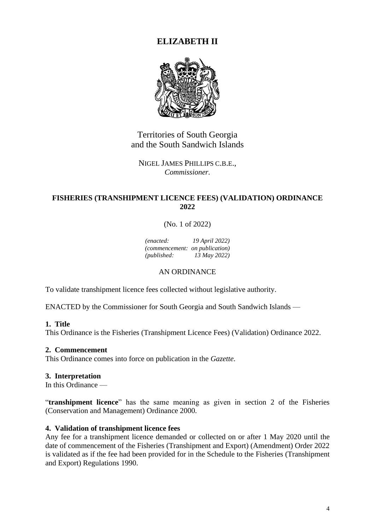# **ELIZABETH II**



Territories of South Georgia and the South Sandwich Islands

NIGEL JAMES PHILLIPS C.B.E., *Commissioner.*

# **FISHERIES (TRANSHIPMENT LICENCE FEES) (VALIDATION) ORDINANCE 2022**

(No. 1 of 2022)

*(enacted: 19 April 2022) (commencement: on publication) (published: 13 May 2022)*

# AN ORDINANCE

To validate transhipment licence fees collected without legislative authority.

ENACTED by the Commissioner for South Georgia and South Sandwich Islands —

# **1. Title**

This Ordinance is the Fisheries (Transhipment Licence Fees) (Validation) Ordinance 2022.

#### **2. Commencement**

This Ordinance comes into force on publication in the *Gazette*.

#### **3. Interpretation**

In this Ordinance  $-$ 

"**transhipment licence**" has the same meaning as given in section 2 of the Fisheries (Conservation and Management) Ordinance 2000.

#### **4. Validation of transhipment licence fees**

Any fee for a transhipment licence demanded or collected on or after 1 May 2020 until the date of commencement of the Fisheries (Transhipment and Export) (Amendment) Order 2022 is validated as if the fee had been provided for in the Schedule to the Fisheries (Transhipment and Export) Regulations 1990.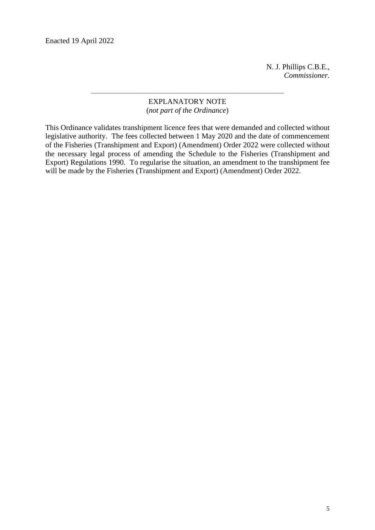Enacted 19 April 2022

N. J. Phillips C.B.E., *Commissioner.*

## EXPLANATORY NOTE (*not part of the Ordinance*)

–––––––––––––––––––––––––––––––––––––––––––––––––––

This Ordinance validates transhipment licence fees that were demanded and collected without legislative authority. The fees collected between 1 May 2020 and the date of commencement of the Fisheries (Transhipment and Export) (Amendment) Order 2022 were collected without the necessary legal process of amending the Schedule to the Fisheries (Transhipment and Export) Regulations 1990. To regularise the situation, an amendment to the transhipment fee will be made by the Fisheries (Transhipment and Export) (Amendment) Order 2022.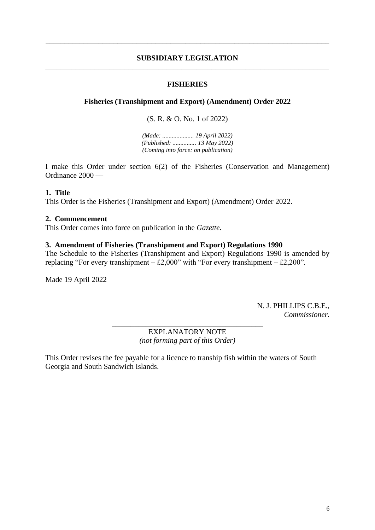#### **SUBSIDIARY LEGISLATION** \_\_\_\_\_\_\_\_\_\_\_\_\_\_\_\_\_\_\_\_\_\_\_\_\_\_\_\_\_\_\_\_\_\_\_\_\_\_\_\_\_\_\_\_\_\_\_\_\_\_\_\_\_\_\_\_\_\_\_\_\_\_\_\_\_\_\_\_\_\_\_\_\_\_\_

\_\_\_\_\_\_\_\_\_\_\_\_\_\_\_\_\_\_\_\_\_\_\_\_\_\_\_\_\_\_\_\_\_\_\_\_\_\_\_\_\_\_\_\_\_\_\_\_\_\_\_\_\_\_\_\_\_\_\_\_\_\_\_\_\_\_\_\_\_\_\_\_\_\_\_

## **FISHERIES**

## **Fisheries (Transhipment and Export) (Amendment) Order 2022**

(S. R. & O. No. 1 of 2022)

*(Made: .................... 19 April 2022) (Published: ............... 13 May 2022) (Coming into force: on publication)*

I make this Order under section 6(2) of the Fisheries (Conservation and Management) Ordinance 2000 ––

#### **1. Title**

This Order is the Fisheries (Transhipment and Export) (Amendment) Order 2022.

#### **2. Commencement**

This Order comes into force on publication in the *Gazette*.

#### **3. Amendment of Fisheries (Transhipment and Export) Regulations 1990**

The Schedule to the Fisheries (Transhipment and Export) Regulations 1990 is amended by replacing "For every transhipment –  $\pounds2,000$ " with "For every transhipment –  $\pounds2,200$ ".

Made 19 April 2022

N. J. PHILLIPS C.B.E., *Commissioner.*

EXPLANATORY NOTE *(not forming part of this Order)*

\_\_\_\_\_\_\_\_\_\_\_\_\_\_\_\_\_\_\_\_\_\_\_\_\_\_\_\_\_\_\_\_\_\_\_\_\_\_\_\_

This Order revises the fee payable for a licence to tranship fish within the waters of South Georgia and South Sandwich Islands.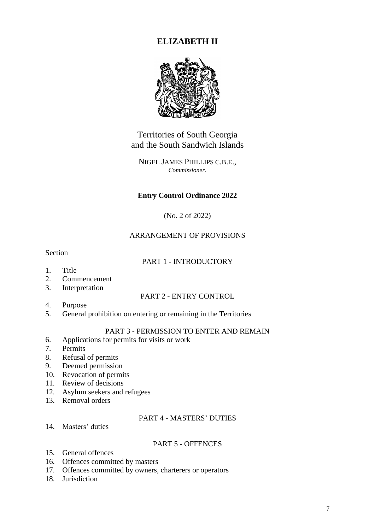# **ELIZABETH II**



Territories of South Georgia and the South Sandwich Islands

NIGEL JAMES PHILLIPS C.B.E., *Commissioner.*

# **Entry Control Ordinance 2022**

(No. 2 of 2022)

# ARRANGEMENT OF PROVISIONS

Section

# PART 1 - INTRODUCTORY

- 1. Title
- 2. Commencement
- 3. Interpretation

# PART 2 - ENTRY CONTROL

- 4. Purpose
- 5. General prohibition on entering or remaining in the Territories

# PART 3 - PERMISSION TO ENTER AND REMAIN

- 6. Applications for permits for visits or work
- 7. Permits
- 8. Refusal of permits
- 9. Deemed permission
- 10. Revocation of permits
- 11. Review of decisions
- 12. Asylum seekers and refugees
- 13. Removal orders

# PART 4 - MASTERS' DUTIES

14. Masters' duties

# PART 5 - OFFENCES

- 15. General offences
- 16. Offences committed by masters
- 17. Offences committed by owners, charterers or operators
- 18. Jurisdiction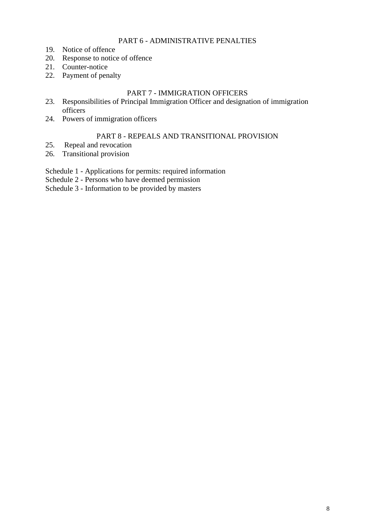## PART 6 - ADMINISTRATIVE PENALTIES

- 19. Notice of offence
- 20. Response to notice of offence
- 21. Counter-notice
- 22. Payment of penalty

# PART 7 - IMMIGRATION OFFICERS

- 23. Responsibilities of Principal Immigration Officer and designation of immigration officers
- 24. Powers of immigration officers

# PART 8 - REPEALS AND TRANSITIONAL PROVISION

- 25. Repeal and revocation
- 26. Transitional provision

Schedule 1 - Applications for permits: required information

Schedule 2 - Persons who have deemed permission

Schedule 3 - Information to be provided by masters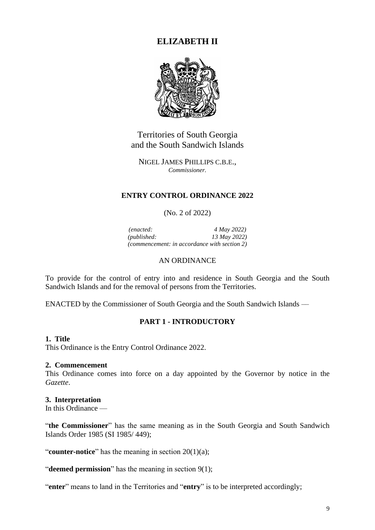# **ELIZABETH II**



Territories of South Georgia and the South Sandwich Islands

NIGEL JAMES PHILLIPS C.B.E., *Commissioner.*

## **ENTRY CONTROL ORDINANCE 2022**

## (No. 2 of 2022)

*(enacted: 4 May 2022) (published: 13 May 2022) (commencement: in accordance with section 2)*

## AN ORDINANCE

To provide for the control of entry into and residence in South Georgia and the South Sandwich Islands and for the removal of persons from the Territories.

ENACTED by the Commissioner of South Georgia and the South Sandwich Islands ––

# **PART 1 - INTRODUCTORY**

#### **1. Title**

This Ordinance is the Entry Control Ordinance 2022.

#### **2. Commencement**

This Ordinance comes into force on a day appointed by the Governor by notice in the *Gazette*.

#### **3. Interpretation**

In this Ordinance —

"**the Commissioner**" has the same meaning as in the South Georgia and South Sandwich Islands Order 1985 (SI 1985/ 449);

"**counter-notice**" has the meaning in section 20(1)(a);

"**deemed permission**" has the meaning in section 9(1);

"**enter**" means to land in the Territories and "**entry**" is to be interpreted accordingly;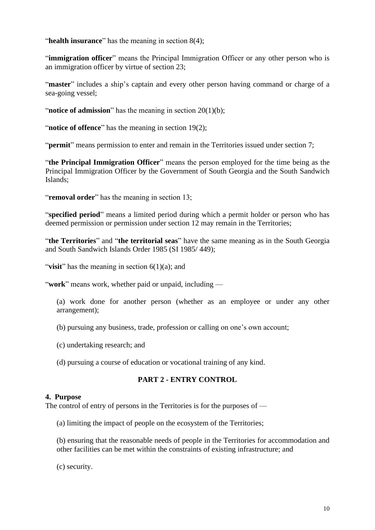"**health insurance**" has the meaning in section 8(4);

"immigration officer" means the Principal Immigration Officer or any other person who is an immigration officer by virtue of section 23;

"**master**" includes a ship's captain and every other person having command or charge of a sea-going vessel;

"**notice of admission**" has the meaning in section 20(1)(b);

"**notice of offence**" has the meaning in section 19(2);

"**permit**" means permission to enter and remain in the Territories issued under section 7;

"**the Principal Immigration Officer**" means the person employed for the time being as the Principal Immigration Officer by the Government of South Georgia and the South Sandwich Islands;

"**removal order**" has the meaning in section 13;

"**specified period**" means a limited period during which a permit holder or person who has deemed permission or permission under section 12 may remain in the Territories;

"**the Territories**" and "**the territorial seas**" have the same meaning as in the South Georgia and South Sandwich Islands Order 1985 (SI 1985/ 449);

"**visit**" has the meaning in section 6(1)(a); and

"**work**" means work, whether paid or unpaid, including —

(a) work done for another person (whether as an employee or under any other arrangement);

(b) pursuing any business, trade, profession or calling on one's own account;

- (c) undertaking research; and
- (d) pursuing a course of education or vocational training of any kind.

# **PART 2 - ENTRY CONTROL**

#### **4. Purpose**

The control of entry of persons in the Territories is for the purposes of —

(a) limiting the impact of people on the ecosystem of the Territories;

(b) ensuring that the reasonable needs of people in the Territories for accommodation and other facilities can be met within the constraints of existing infrastructure; and

(c) security.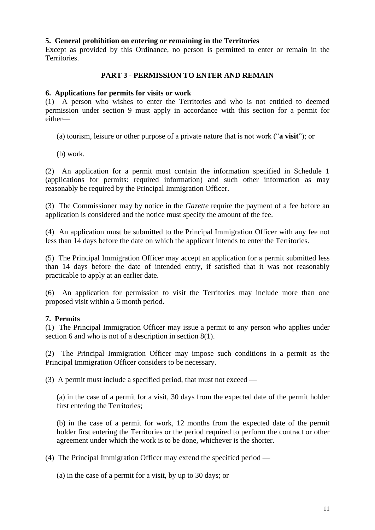## **5. General prohibition on entering or remaining in the Territories**

Except as provided by this Ordinance, no person is permitted to enter or remain in the Territories.

# **PART 3 - PERMISSION TO ENTER AND REMAIN**

## **6. Applications for permits for visits or work**

(1) A person who wishes to enter the Territories and who is not entitled to deemed permission under section 9 must apply in accordance with this section for a permit for either—

(a) tourism, leisure or other purpose of a private nature that is not work ("**a visit**"); or

(b) work.

(2) An application for a permit must contain the information specified in Schedule 1 (applications for permits: required information) and such other information as may reasonably be required by the Principal Immigration Officer.

(3) The Commissioner may by notice in the *Gazette* require the payment of a fee before an application is considered and the notice must specify the amount of the fee.

(4) An application must be submitted to the Principal Immigration Officer with any fee not less than 14 days before the date on which the applicant intends to enter the Territories.

(5) The Principal Immigration Officer may accept an application for a permit submitted less than 14 days before the date of intended entry, if satisfied that it was not reasonably practicable to apply at an earlier date.

(6) An application for permission to visit the Territories may include more than one proposed visit within a 6 month period.

# **7. Permits**

(1) The Principal Immigration Officer may issue a permit to any person who applies under section 6 and who is not of a description in section 8(1).

(2) The Principal Immigration Officer may impose such conditions in a permit as the Principal Immigration Officer considers to be necessary.

(3) A permit must include a specified period, that must not exceed —

(a) in the case of a permit for a visit, 30 days from the expected date of the permit holder first entering the Territories;

(b) in the case of a permit for work, 12 months from the expected date of the permit holder first entering the Territories or the period required to perform the contract or other agreement under which the work is to be done, whichever is the shorter.

(4) The Principal Immigration Officer may extend the specified period —

(a) in the case of a permit for a visit, by up to 30 days; or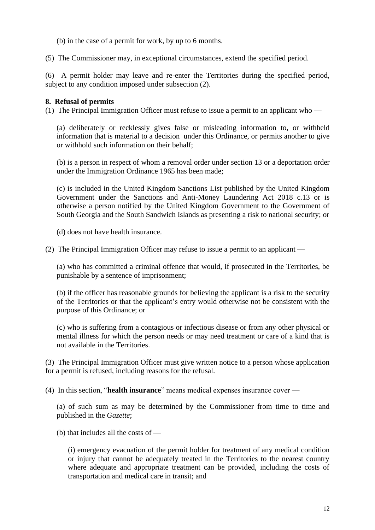(b) in the case of a permit for work, by up to 6 months.

(5) The Commissioner may, in exceptional circumstances, extend the specified period.

(6) A permit holder may leave and re-enter the Territories during the specified period, subject to any condition imposed under subsection  $(2)$ .

#### **8. Refusal of permits**

(1) The Principal Immigration Officer must refuse to issue a permit to an applicant who —

(a) deliberately or recklessly gives false or misleading information to, or withheld information that is material to a decision under this Ordinance, or permits another to give or withhold such information on their behalf;

(b) is a person in respect of whom a removal order under section 13 or a deportation order under the Immigration Ordinance 1965 has been made;

(c) is included in the United Kingdom Sanctions List published by the United Kingdom Government under the Sanctions and Anti-Money Laundering Act 2018 c.13 or is otherwise a person notified by the United Kingdom Government to the Government of South Georgia and the South Sandwich Islands as presenting a risk to national security; or

(d) does not have health insurance.

(2) The Principal Immigration Officer may refuse to issue a permit to an applicant —

(a) who has committed a criminal offence that would, if prosecuted in the Territories, be punishable by a sentence of imprisonment;

(b) if the officer has reasonable grounds for believing the applicant is a risk to the security of the Territories or that the applicant's entry would otherwise not be consistent with the purpose of this Ordinance; or

(c) who is suffering from a contagious or infectious disease or from any other physical or mental illness for which the person needs or may need treatment or care of a kind that is not available in the Territories.

(3) The Principal Immigration Officer must give written notice to a person whose application for a permit is refused, including reasons for the refusal.

(4) In this section, "**health insurance**" means medical expenses insurance cover —

(a) of such sum as may be determined by the Commissioner from time to time and published in the *Gazette*;

(b) that includes all the costs of —

(i) emergency evacuation of the permit holder for treatment of any medical condition or injury that cannot be adequately treated in the Territories to the nearest country where adequate and appropriate treatment can be provided, including the costs of transportation and medical care in transit; and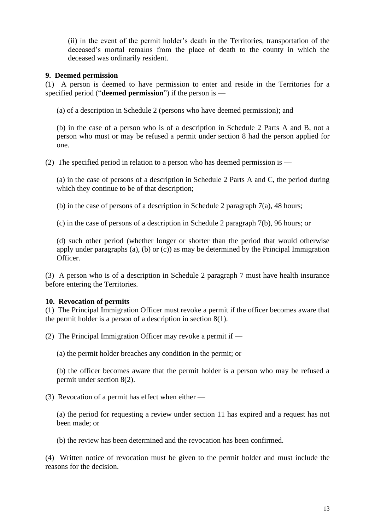(ii) in the event of the permit holder's death in the Territories, transportation of the deceased's mortal remains from the place of death to the county in which the deceased was ordinarily resident.

#### **9. Deemed permission**

(1) A person is deemed to have permission to enter and reside in the Territories for a specified period ("**deemed permission**") if the person is —

(a) of a description in Schedule 2 (persons who have deemed permission); and

(b) in the case of a person who is of a description in Schedule 2 Parts A and B, not a person who must or may be refused a permit under section 8 had the person applied for one.

(2) The specified period in relation to a person who has deemed permission is —

(a) in the case of persons of a description in Schedule 2 Parts A and C, the period during which they continue to be of that description;

(b) in the case of persons of a description in Schedule 2 paragraph 7(a), 48 hours;

(c) in the case of persons of a description in Schedule 2 paragraph 7(b), 96 hours; or

(d) such other period (whether longer or shorter than the period that would otherwise apply under paragraphs (a), (b) or (c)) as may be determined by the Principal Immigration Officer.

(3) A person who is of a description in Schedule 2 paragraph 7 must have health insurance before entering the Territories.

# **10. Revocation of permits**

(1) The Principal Immigration Officer must revoke a permit if the officer becomes aware that the permit holder is a person of a description in section 8(1).

(2) The Principal Immigration Officer may revoke a permit if —

(a) the permit holder breaches any condition in the permit; or

(b) the officer becomes aware that the permit holder is a person who may be refused a permit under section 8(2).

(3) Revocation of a permit has effect when either —

(a) the period for requesting a review under section 11 has expired and a request has not been made; or

(b) the review has been determined and the revocation has been confirmed.

(4) Written notice of revocation must be given to the permit holder and must include the reasons for the decision.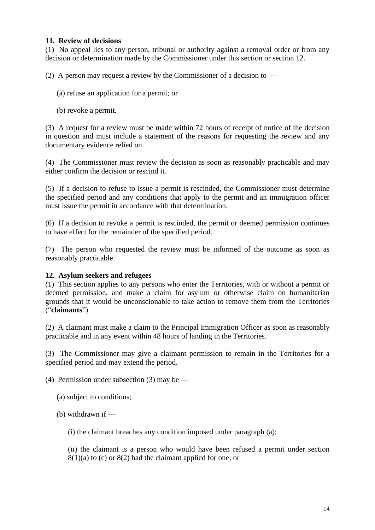# **11. Review of decisions**

(1) No appeal lies to any person, tribunal or authority against a removal order or from any decision or determination made by the Commissioner under this section or section 12.

(2) A person may request a review by the Commissioner of a decision to  $-$ 

(a) refuse an application for a permit; or

(b) revoke a permit.

(3) A request for a review must be made within 72 hours of receipt of notice of the decision in question and must include a statement of the reasons for requesting the review and any documentary evidence relied on.

(4) The Commissioner must review the decision as soon as reasonably practicable and may either confirm the decision or rescind it.

(5) If a decision to refuse to issue a permit is rescinded, the Commissioner must determine the specified period and any conditions that apply to the permit and an immigration officer must issue the permit in accordance with that determination.

(6) If a decision to revoke a permit is rescinded, the permit or deemed permission continues to have effect for the remainder of the specified period.

(7) The person who requested the review must be informed of the outcome as soon as reasonably practicable.

# **12. Asylum seekers and refugees**

(1) This section applies to any persons who enter the Territories, with or without a permit or deemed permission, and make a claim for asylum or otherwise claim on humanitarian grounds that it would be unconscionable to take action to remove them from the Territories ("**claimants**").

(2) A claimant must make a claim to the Principal Immigration Officer as soon as reasonably practicable and in any event within 48 hours of landing in the Territories.

(3) The Commissioner may give a claimant permission to remain in the Territories for a specified period and may extend the period.

(4) Permission under subsection (3) may be —

(a) subject to conditions;

(b) withdrawn if  $-$ 

(i) the claimant breaches any condition imposed under paragraph (a);

(ii) the claimant is a person who would have been refused a permit under section  $8(1)(a)$  to (c) or  $8(2)$  had the claimant applied for one; or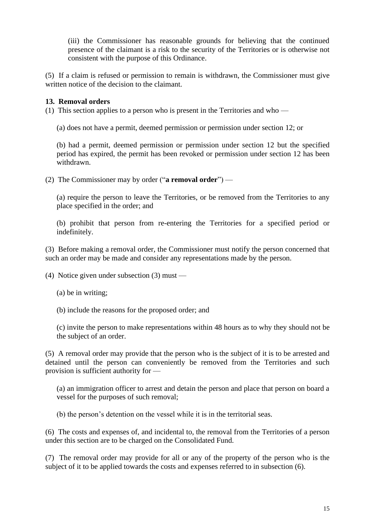(iii) the Commissioner has reasonable grounds for believing that the continued presence of the claimant is a risk to the security of the Territories or is otherwise not consistent with the purpose of this Ordinance.

(5) If a claim is refused or permission to remain is withdrawn, the Commissioner must give written notice of the decision to the claimant.

# **13. Removal orders**

(1) This section applies to a person who is present in the Territories and who —

(a) does not have a permit, deemed permission or permission under section 12; or

(b) had a permit, deemed permission or permission under section 12 but the specified period has expired, the permit has been revoked or permission under section 12 has been withdrawn.

(2) The Commissioner may by order ("**a removal order**") —

(a) require the person to leave the Territories, or be removed from the Territories to any place specified in the order; and

(b) prohibit that person from re-entering the Territories for a specified period or indefinitely.

(3) Before making a removal order, the Commissioner must notify the person concerned that such an order may be made and consider any representations made by the person.

(4) Notice given under subsection (3) must —

(a) be in writing;

(b) include the reasons for the proposed order; and

(c) invite the person to make representations within 48 hours as to why they should not be the subject of an order.

(5) A removal order may provide that the person who is the subject of it is to be arrested and detained until the person can conveniently be removed from the Territories and such provision is sufficient authority for —

(a) an immigration officer to arrest and detain the person and place that person on board a vessel for the purposes of such removal;

(b) the person's detention on the vessel while it is in the territorial seas.

(6) The costs and expenses of, and incidental to, the removal from the Territories of a person under this section are to be charged on the Consolidated Fund.

(7) The removal order may provide for all or any of the property of the person who is the subject of it to be applied towards the costs and expenses referred to in subsection (6).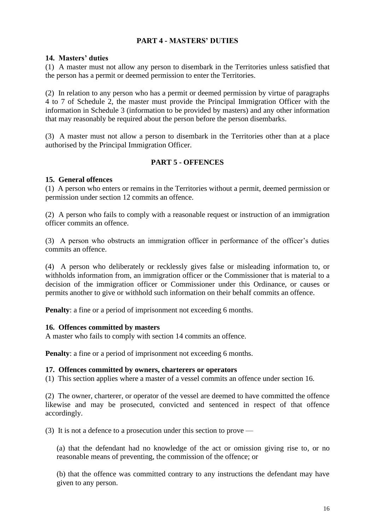# **PART 4 - MASTERS' DUTIES**

## **14. Masters' duties**

(1) A master must not allow any person to disembark in the Territories unless satisfied that the person has a permit or deemed permission to enter the Territories.

(2) In relation to any person who has a permit or deemed permission by virtue of paragraphs 4 to 7 of Schedule 2, the master must provide the Principal Immigration Officer with the information in Schedule 3 (information to be provided by masters) and any other information that may reasonably be required about the person before the person disembarks.

(3) A master must not allow a person to disembark in the Territories other than at a place authorised by the Principal Immigration Officer.

# **PART 5 - OFFENCES**

#### **15. General offences**

(1) A person who enters or remains in the Territories without a permit, deemed permission or permission under section 12 commits an offence.

(2) A person who fails to comply with a reasonable request or instruction of an immigration officer commits an offence.

(3) A person who obstructs an immigration officer in performance of the officer's duties commits an offence.

(4) A person who deliberately or recklessly gives false or misleading information to, or withholds information from, an immigration officer or the Commissioner that is material to a decision of the immigration officer or Commissioner under this Ordinance, or causes or permits another to give or withhold such information on their behalf commits an offence.

**Penalty**: a fine or a period of imprisonment not exceeding 6 months.

#### **16. Offences committed by masters**

A master who fails to comply with section 14 commits an offence.

**Penalty**: a fine or a period of imprisonment not exceeding 6 months.

#### **17. Offences committed by owners, charterers or operators**

(1) This section applies where a master of a vessel commits an offence under section 16.

(2) The owner, charterer, or operator of the vessel are deemed to have committed the offence likewise and may be prosecuted, convicted and sentenced in respect of that offence accordingly.

(3) It is not a defence to a prosecution under this section to prove —

(a) that the defendant had no knowledge of the act or omission giving rise to, or no reasonable means of preventing, the commission of the offence; or

(b) that the offence was committed contrary to any instructions the defendant may have given to any person.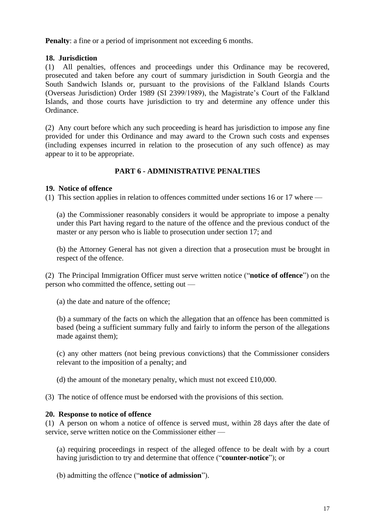**Penalty**: a fine or a period of imprisonment not exceeding 6 months.

# **18. Jurisdiction**

(1) All penalties, offences and proceedings under this Ordinance may be recovered, prosecuted and taken before any court of summary jurisdiction in South Georgia and the South Sandwich Islands or, pursuant to the provisions of the Falkland Islands Courts (Overseas Jurisdiction) Order 1989 (SI 2399/1989), the Magistrate's Court of the Falkland Islands, and those courts have jurisdiction to try and determine any offence under this Ordinance.

(2) Any court before which any such proceeding is heard has jurisdiction to impose any fine provided for under this Ordinance and may award to the Crown such costs and expenses (including expenses incurred in relation to the prosecution of any such offence) as may appear to it to be appropriate.

# **PART 6 - ADMINISTRATIVE PENALTIES**

## **19. Notice of offence**

(1) This section applies in relation to offences committed under sections 16 or 17 where —

(a) the Commissioner reasonably considers it would be appropriate to impose a penalty under this Part having regard to the nature of the offence and the previous conduct of the master or any person who is liable to prosecution under section 17; and

(b) the Attorney General has not given a direction that a prosecution must be brought in respect of the offence.

(2) The Principal Immigration Officer must serve written notice ("**notice of offence**") on the person who committed the offence, setting out —

(a) the date and nature of the offence;

(b) a summary of the facts on which the allegation that an offence has been committed is based (being a sufficient summary fully and fairly to inform the person of the allegations made against them);

(c) any other matters (not being previous convictions) that the Commissioner considers relevant to the imposition of a penalty; and

(d) the amount of the monetary penalty, which must not exceed £10,000.

(3) The notice of offence must be endorsed with the provisions of this section.

#### **20. Response to notice of offence**

(1) A person on whom a notice of offence is served must, within 28 days after the date of service, serve written notice on the Commissioner either —

(a) requiring proceedings in respect of the alleged offence to be dealt with by a court having jurisdiction to try and determine that offence ("**counter-notice**"); or

(b) admitting the offence ("**notice of admission**").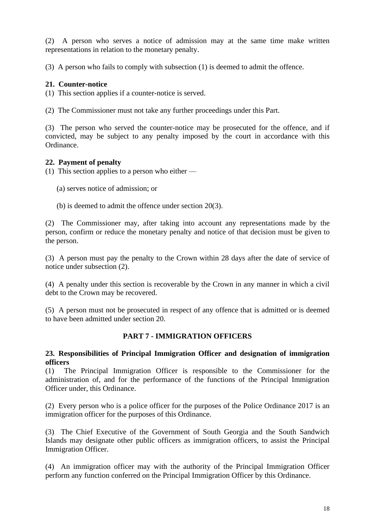(2) A person who serves a notice of admission may at the same time make written representations in relation to the monetary penalty.

(3) A person who fails to comply with subsection (1) is deemed to admit the offence.

# **21. Counter-notice**

(1) This section applies if a counter-notice is served.

(2) The Commissioner must not take any further proceedings under this Part.

(3) The person who served the counter-notice may be prosecuted for the offence, and if convicted, may be subject to any penalty imposed by the court in accordance with this Ordinance.

## **22. Payment of penalty**

(1) This section applies to a person who either —

- (a) serves notice of admission; or
- (b) is deemed to admit the offence under section 20(3).

(2) The Commissioner may, after taking into account any representations made by the person, confirm or reduce the monetary penalty and notice of that decision must be given to the person.

(3) A person must pay the penalty to the Crown within 28 days after the date of service of notice under subsection (2).

(4) A penalty under this section is recoverable by the Crown in any manner in which a civil debt to the Crown may be recovered.

(5) A person must not be prosecuted in respect of any offence that is admitted or is deemed to have been admitted under section 20.

# **PART 7 - IMMIGRATION OFFICERS**

#### **23. Responsibilities of Principal Immigration Officer and designation of immigration officers**

(1) The Principal Immigration Officer is responsible to the Commissioner for the administration of, and for the performance of the functions of the Principal Immigration Officer under, this Ordinance.

(2) Every person who is a police officer for the purposes of the Police Ordinance 2017 is an immigration officer for the purposes of this Ordinance.

(3) The Chief Executive of the Government of South Georgia and the South Sandwich Islands may designate other public officers as immigration officers, to assist the Principal Immigration Officer.

(4) An immigration officer may with the authority of the Principal Immigration Officer perform any function conferred on the Principal Immigration Officer by this Ordinance.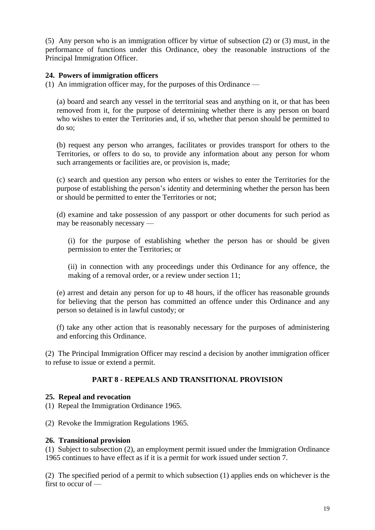(5) Any person who is an immigration officer by virtue of subsection (2) or (3) must, in the performance of functions under this Ordinance, obey the reasonable instructions of the Principal Immigration Officer.

# **24. Powers of immigration officers**

(1) An immigration officer may, for the purposes of this Ordinance —

(a) board and search any vessel in the territorial seas and anything on it, or that has been removed from it, for the purpose of determining whether there is any person on board who wishes to enter the Territories and, if so, whether that person should be permitted to do so;

(b) request any person who arranges, facilitates or provides transport for others to the Territories, or offers to do so, to provide any information about any person for whom such arrangements or facilities are, or provision is, made;

(c) search and question any person who enters or wishes to enter the Territories for the purpose of establishing the person's identity and determining whether the person has been or should be permitted to enter the Territories or not;

(d) examine and take possession of any passport or other documents for such period as may be reasonably necessary —

(i) for the purpose of establishing whether the person has or should be given permission to enter the Territories; or

(ii) in connection with any proceedings under this Ordinance for any offence, the making of a removal order, or a review under section 11;

(e) arrest and detain any person for up to 48 hours, if the officer has reasonable grounds for believing that the person has committed an offence under this Ordinance and any person so detained is in lawful custody; or

(f) take any other action that is reasonably necessary for the purposes of administering and enforcing this Ordinance.

(2) The Principal Immigration Officer may rescind a decision by another immigration officer to refuse to issue or extend a permit.

# **PART 8 - REPEALS AND TRANSITIONAL PROVISION**

#### **25. Repeal and revocation**

(1) Repeal the Immigration Ordinance 1965.

(2) Revoke the Immigration Regulations 1965.

#### **26. Transitional provision**

(1) Subject to subsection (2), an employment permit issued under the Immigration Ordinance 1965 continues to have effect as if it is a permit for work issued under section 7.

(2) The specified period of a permit to which subsection (1) applies ends on whichever is the first to occur of —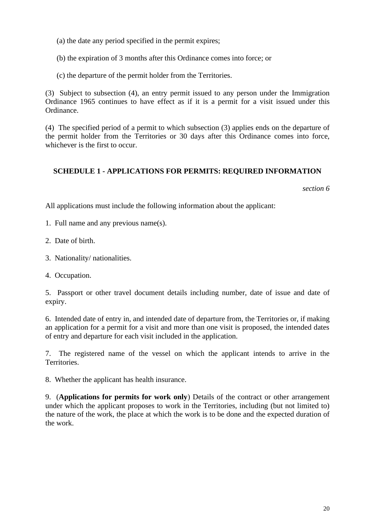(a) the date any period specified in the permit expires;

(b) the expiration of 3 months after this Ordinance comes into force; or

(c) the departure of the permit holder from the Territories.

(3) Subject to subsection (4), an entry permit issued to any person under the Immigration Ordinance 1965 continues to have effect as if it is a permit for a visit issued under this Ordinance.

(4) The specified period of a permit to which subsection (3) applies ends on the departure of the permit holder from the Territories or 30 days after this Ordinance comes into force, whichever is the first to occur.

# **SCHEDULE 1 - APPLICATIONS FOR PERMITS: REQUIRED INFORMATION**

*section 6*

All applications must include the following information about the applicant:

1. Full name and any previous name(s).

2. Date of birth.

- 3. Nationality/ nationalities.
- 4. Occupation.

5. Passport or other travel document details including number, date of issue and date of expiry.

6. Intended date of entry in, and intended date of departure from, the Territories or, if making an application for a permit for a visit and more than one visit is proposed, the intended dates of entry and departure for each visit included in the application.

7. The registered name of the vessel on which the applicant intends to arrive in the Territories.

8. Whether the applicant has health insurance.

9. (**Applications for permits for work only**) Details of the contract or other arrangement under which the applicant proposes to work in the Territories, including (but not limited to) the nature of the work, the place at which the work is to be done and the expected duration of the work.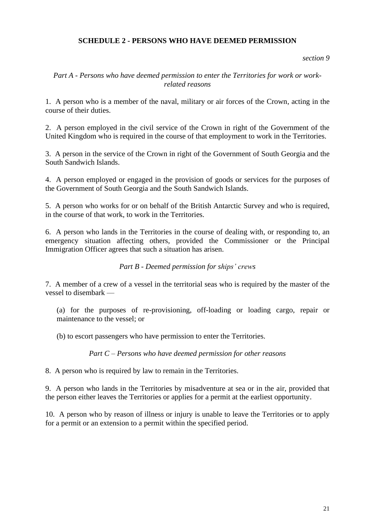# **SCHEDULE 2 - PERSONS WHO HAVE DEEMED PERMISSION**

#### *section 9*

# *Part A - Persons who have deemed permission to enter the Territories for work or workrelated reasons*

1. A person who is a member of the naval, military or air forces of the Crown, acting in the course of their duties.

2. A person employed in the civil service of the Crown in right of the Government of the United Kingdom who is required in the course of that employment to work in the Territories.

3. A person in the service of the Crown in right of the Government of South Georgia and the South Sandwich Islands.

4. A person employed or engaged in the provision of goods or services for the purposes of the Government of South Georgia and the South Sandwich Islands.

5. A person who works for or on behalf of the British Antarctic Survey and who is required, in the course of that work, to work in the Territories.

6. A person who lands in the Territories in the course of dealing with, or responding to, an emergency situation affecting others, provided the Commissioner or the Principal Immigration Officer agrees that such a situation has arisen.

# *Part B - Deemed permission for ships' crews*

7. A member of a crew of a vessel in the territorial seas who is required by the master of the vessel to disembark —

(a) for the purposes of re-provisioning, off-loading or loading cargo, repair or maintenance to the vessel; or

(b) to escort passengers who have permission to enter the Territories.

*Part C – Persons who have deemed permission for other reasons*

8. A person who is required by law to remain in the Territories.

9. A person who lands in the Territories by misadventure at sea or in the air, provided that the person either leaves the Territories or applies for a permit at the earliest opportunity.

10. A person who by reason of illness or injury is unable to leave the Territories or to apply for a permit or an extension to a permit within the specified period.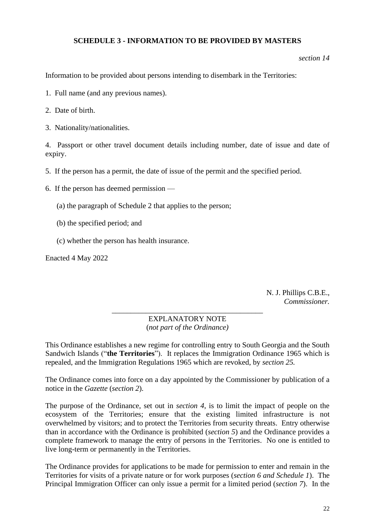# **SCHEDULE 3 - INFORMATION TO BE PROVIDED BY MASTERS**

*section 14*

Information to be provided about persons intending to disembark in the Territories:

- 1. Full name (and any previous names).
- 2. Date of birth.
- 3. Nationality/nationalities.

4. Passport or other travel document details including number, date of issue and date of expiry.

- 5. If the person has a permit, the date of issue of the permit and the specified period.
- 6. If the person has deemed permission
	- (a) the paragraph of Schedule 2 that applies to the person;
	- (b) the specified period; and
	- (c) whether the person has health insurance.

Enacted 4 May 2022

N. J. Phillips C.B.E., *Commissioner.*

#### \_\_\_\_\_\_\_\_\_\_\_\_\_\_\_\_\_\_\_\_\_\_\_\_\_\_\_\_\_\_\_\_\_\_\_\_\_\_\_\_ EXPLANATORY NOTE (*not part of the Ordinance)*

This Ordinance establishes a new regime for controlling entry to South Georgia and the South Sandwich Islands ("**the Territories**"). It replaces the Immigration Ordinance 1965 which is repealed, and the Immigration Regulations 1965 which are revoked, by *section 25.*

The Ordinance comes into force on a day appointed by the Commissioner by publication of a notice in the *Gazette* (*section 2*).

The purpose of the Ordinance, set out in *section 4*, is to limit the impact of people on the ecosystem of the Territories; ensure that the existing limited infrastructure is not overwhelmed by visitors; and to protect the Territories from security threats. Entry otherwise than in accordance with the Ordinance is prohibited (*section 5*) and the Ordinance provides a complete framework to manage the entry of persons in the Territories. No one is entitled to live long-term or permanently in the Territories.

The Ordinance provides for applications to be made for permission to enter and remain in the Territories for visits of a private nature or for work purposes (*section 6 and Schedule 1*). The Principal Immigration Officer can only issue a permit for a limited period (*section 7*). In the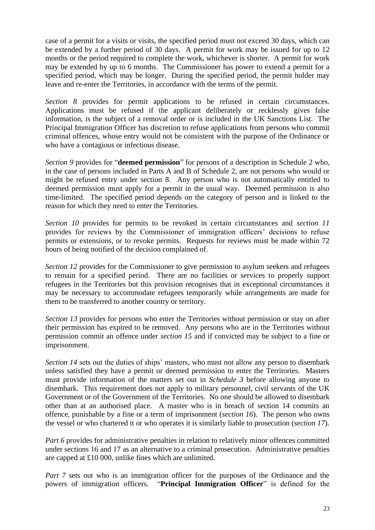case of a permit for a visits or visits, the specified period must not exceed 30 days, which can be extended by a further period of 30 days. A permit for work may be issued for up to 12 months or the period required to complete the work, whichever is shorter. A permit for work may be extended by up to 6 months. The Commissioner has power to extend a permit for a specified period, which may be longer. During the specified period, the permit holder may leave and re-enter the Territories, in accordance with the terms of the permit.

*Section 8* provides for permit applications to be refused in certain circumstances. Applications must be refused if the applicant deliberately or recklessly gives false information, is the subject of a removal order or is included in the UK Sanctions List. The Principal Immigration Officer has discretion to refuse applications from persons who commit criminal offences, whose entry would not be consistent with the purpose of the Ordinance or who have a contagious or infectious disease.

*Section 9* provides for "**deemed permission**" for persons of a description in Schedule 2 who, in the case of persons included in Parts A and B of Schedule 2, are not persons who would or might be refused entry under section 8. Any person who is not automatically entitled to deemed permission must apply for a permit in the usual way. Deemed permission is also time-limited. The specified period depends on the category of person and is linked to the reason for which they need to enter the Territories.

*Section 10* provides for permits to be revoked in certain circumstances and *section 11* provides for reviews by the Commissioner of immigration officers' decisions to refuse permits or extensions, or to revoke permits. Requests for reviews must be made within 72 hours of being notified of the decision complained of.

*Section 12* provides for the Commissioner to give permission to asylum seekers and refugees to remain for a specified period. There are no facilities or services to properly support refugees in the Territories but this provision recognises that in exceptional circumstances it may be necessary to accommodate refugees temporarily while arrangements are made for them to be transferred to another country or territory.

*Section 13* provides for persons who enter the Territories without permission or stay on after their permission has expired to be removed. Any persons who are in the Territories without permission commit an offence under *section 15* and if convicted may be subject to a fine or imprisonment.

*Section 14* sets out the duties of ships' masters, who must not allow any person to disembark unless satisfied they have a permit or deemed permission to enter the Territories. Masters must provide information of the matters set out in *Schedule 3* before allowing anyone to disembark. This requirement does not apply to military personnel, civil servants of the UK Government or of the Government of the Territories. No one should be allowed to disembark other than at an authorised place. A master who is in breach of section 14 commits an offence, punishable by a fine or a term of imprisonment (*section 16*). The person who owns the vessel or who chartered it or who operates it is similarly liable to prosecution (*section 17*).

*Part 6* provides for administrative penalties in relation to relatively minor offences committed under sections 16 and 17 as an alternative to a criminal prosecution. Administrative penalties are capped at £10 000, unlike fines which are unlimited.

*Part 7* sets out who is an immigration officer for the purposes of the Ordinance and the powers of immigration officers. "**Principal Immigration Officer**" is defined for the